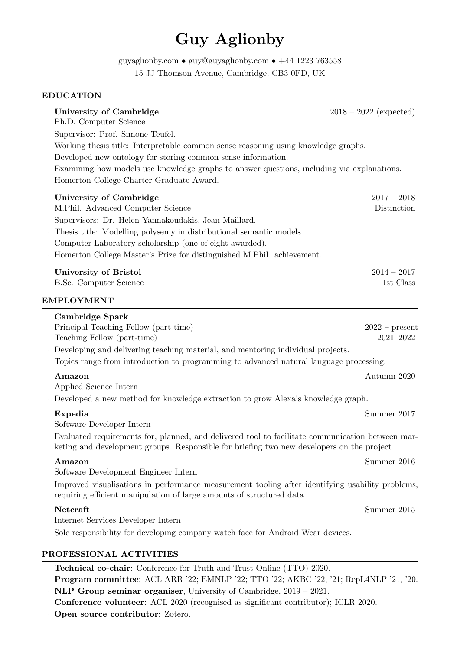# Guy Aglionby

<code>[guyaglionby.com](http://www.guyaglionby.com) </code> • <code>[guy@guyaglionby.com](mailto:guy@guyaglionby.com) • [+44 1223 763558](tel:441223763558)</code> 15 JJ Thomson Avenue, Cambridge, CB3 0FD, UK

## EDUCATION

|                                                                                                                                                                             | University of Cambridge<br>Ph.D. Computer Science                                                                                                                                              |                                                                                            | $2018 - 2022$ (expected) |  |
|-----------------------------------------------------------------------------------------------------------------------------------------------------------------------------|------------------------------------------------------------------------------------------------------------------------------------------------------------------------------------------------|--------------------------------------------------------------------------------------------|--------------------------|--|
|                                                                                                                                                                             | · Supervisor: Prof. Simone Teufel.                                                                                                                                                             |                                                                                            |                          |  |
|                                                                                                                                                                             |                                                                                                                                                                                                | · Working thesis title: Interpretable common sense reasoning using knowledge graphs.       |                          |  |
|                                                                                                                                                                             | · Developed new ontology for storing common sense information.                                                                                                                                 |                                                                                            |                          |  |
|                                                                                                                                                                             | · Homerton College Charter Graduate Award.                                                                                                                                                     | Examining how models use knowledge graphs to answer questions, including via explanations. |                          |  |
|                                                                                                                                                                             | University of Cambridge                                                                                                                                                                        |                                                                                            | $2017 - 2018$            |  |
|                                                                                                                                                                             | M.Phil. Advanced Computer Science                                                                                                                                                              |                                                                                            | Distinction              |  |
|                                                                                                                                                                             | · Supervisors: Dr. Helen Yannakoudakis, Jean Maillard.                                                                                                                                         |                                                                                            |                          |  |
|                                                                                                                                                                             | · Thesis title: Modelling polysemy in distributional semantic models.                                                                                                                          |                                                                                            |                          |  |
|                                                                                                                                                                             | Computer Laboratory scholarship (one of eight awarded).                                                                                                                                        |                                                                                            |                          |  |
|                                                                                                                                                                             | · Homerton College Master's Prize for distinguished M.Phil. achievement.                                                                                                                       |                                                                                            |                          |  |
|                                                                                                                                                                             | University of Bristol                                                                                                                                                                          |                                                                                            | $2014 - 2017$            |  |
|                                                                                                                                                                             | B.Sc. Computer Science                                                                                                                                                                         |                                                                                            | 1st Class                |  |
|                                                                                                                                                                             | <b>EMPLOYMENT</b>                                                                                                                                                                              |                                                                                            |                          |  |
|                                                                                                                                                                             | Cambridge Spark                                                                                                                                                                                |                                                                                            |                          |  |
|                                                                                                                                                                             | Principal Teaching Fellow (part-time)                                                                                                                                                          |                                                                                            | $2022 - present$         |  |
|                                                                                                                                                                             | Teaching Fellow (part-time)                                                                                                                                                                    |                                                                                            | $2021 - 2022$            |  |
|                                                                                                                                                                             | . Developing and delivering teaching material, and mentoring individual projects.                                                                                                              |                                                                                            |                          |  |
|                                                                                                                                                                             | . Topics range from introduction to programming to advanced natural language processing.                                                                                                       |                                                                                            |                          |  |
|                                                                                                                                                                             | <b>Amazon</b>                                                                                                                                                                                  |                                                                                            | Autumn 2020              |  |
|                                                                                                                                                                             | Applied Science Intern                                                                                                                                                                         |                                                                                            |                          |  |
|                                                                                                                                                                             | . Developed a new method for knowledge extraction to grow Alexa's knowledge graph.                                                                                                             |                                                                                            |                          |  |
|                                                                                                                                                                             | Expedia                                                                                                                                                                                        |                                                                                            | Summer 2017              |  |
|                                                                                                                                                                             | Software Developer Intern                                                                                                                                                                      |                                                                                            |                          |  |
|                                                                                                                                                                             | Evaluated requirements for, planned, and delivered tool to facilitate communication between mar-<br>keting and development groups. Responsible for briefing two new developers on the project. |                                                                                            |                          |  |
|                                                                                                                                                                             | Amazon                                                                                                                                                                                         |                                                                                            | Summer 2016              |  |
|                                                                                                                                                                             | Software Development Engineer Intern                                                                                                                                                           |                                                                                            |                          |  |
| · Improved visualisations in performance measurement tooling after identifying usability problems,<br>requiring efficient manipulation of large amounts of structured data. |                                                                                                                                                                                                |                                                                                            |                          |  |
|                                                                                                                                                                             | Netcraft                                                                                                                                                                                       |                                                                                            | Summer 2015              |  |
|                                                                                                                                                                             | Internet Services Developer Intern                                                                                                                                                             |                                                                                            |                          |  |
|                                                                                                                                                                             | . Sole responsibility for developing company watch face for Android Wear devices.                                                                                                              |                                                                                            |                          |  |
|                                                                                                                                                                             | PROFESSIONAL ACTIVITIES                                                                                                                                                                        |                                                                                            |                          |  |
|                                                                                                                                                                             | · Technical co-chair: Conference for Truth and Trust Online (TTO) 2020.                                                                                                                        |                                                                                            |                          |  |
|                                                                                                                                                                             | · Program committee: ACL ARR '22; EMNLP '22; TTO '22; AKBC '22, '21; RepL4NLP '21, '20.                                                                                                        |                                                                                            |                          |  |

- · NLP Group seminar organiser, University of Cambridge, 2019 2021.
- · Conference volunteer: ACL 2020 (recognised as significant contributor); ICLR 2020.
- · Open source contributor: Zotero.